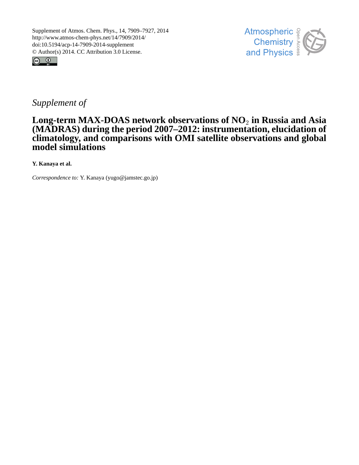



## *Supplement of*

## **Long-term MAX-DOAS network observations of NO**<sup>2</sup> **in Russia and Asia (MADRAS) during the period 2007–2012: instrumentation, elucidation of climatology, and comparisons with OMI satellite observations and global model simulations**

**Y. Kanaya et al.**

*Correspondence to:* Y. Kanaya (yugo@jamstec.go.jp)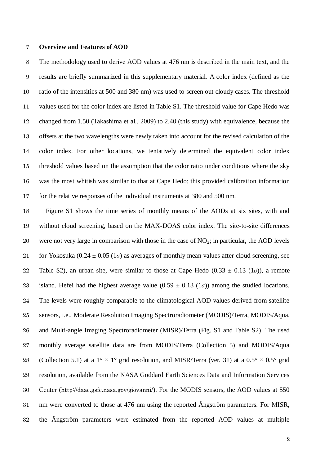## **Overview and Features of AOD**

 The methodology used to derive AOD values at 476 nm is described in the main text, and the results are briefly summarized in this supplementary material. A color index (defined as the ratio of the intensities at 500 and 380 nm) was used to screen out cloudy cases. The threshold values used for the color index are listed in Table S1. The threshold value for Cape Hedo was changed from 1.50 (Takashima et al., 2009) to 2.40 (this study) with equivalence, because the offsets at the two wavelengths were newly taken into account for the revised calculation of the color index. For other locations, we tentatively determined the equivalent color index threshold values based on the assumption that the color ratio under conditions where the sky was the most whitish was similar to that at Cape Hedo; this provided calibration information for the relative responses of the individual instruments at 380 and 500 nm.

 Figure S1 shows the time series of monthly means of the AODs at six sites, with and without cloud screening, based on the MAX-DOAS color index. The site-to-site differences 20 were not very large in comparison with those in the case of  $NO<sub>2</sub>$ ; in particular, the AOD levels 21 for Yokosuka ( $0.24 \pm 0.05$  ( $1\sigma$ ) as averages of monthly mean values after cloud screening, see 22 Table S2), an urban site, were similar to those at Cape Hedo  $(0.33 \pm 0.13 \text{ (1}\sigma))$ , a remote 23 island. Hefei had the highest average value  $(0.59 \pm 0.13 \text{ (1}\sigma))$  among the studied locations. The levels were roughly comparable to the climatological AOD values derived from satellite sensors, i.e., Moderate Resolution Imaging Spectroradiometer (MODIS)/Terra, MODIS/Aqua, and Multi-angle Imaging Spectroradiometer (MISR)/Terra (Fig. S1 and Table S2). The used monthly average satellite data are from MODIS/Terra (Collection 5) and MODIS/Aqua 28 (Collection 5.1) at a  $1^{\circ} \times 1^{\circ}$  grid resolution, and MISR/Terra (ver. 31) at a  $0.5^{\circ} \times 0.5^{\circ}$  grid resolution, available from the NASA Goddard Earth Sciences Data and Information Services Center (http://daac.gsfc.nasa.gov/giovanni/). For the MODIS sensors, the AOD values at 550 nm were converted to those at 476 nm using the reported Ångström parameters. For MISR, the Ångström parameters were estimated from the reported AOD values at multiple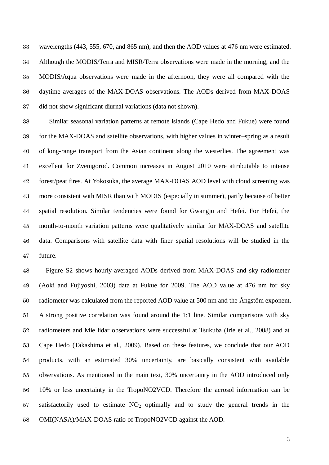wavelengths (443, 555, 670, and 865 nm), and then the AOD values at 476 nm were estimated. Although the MODIS/Terra and MISR/Terra observations were made in the morning, and the MODIS/Aqua observations were made in the afternoon, they were all compared with the daytime averages of the MAX-DOAS observations. The AODs derived from MAX-DOAS did not show significant diurnal variations (data not shown).

 Similar seasonal variation patterns at remote islands (Cape Hedo and Fukue) were found for the MAX-DOAS and satellite observations, with higher values in winter–spring as a result of long-range transport from the Asian continent along the westerlies. The agreement was excellent for Zvenigorod. Common increases in August 2010 were attributable to intense forest/peat fires. At Yokosuka, the average MAX-DOAS AOD level with cloud screening was more consistent with MISR than with MODIS (especially in summer), partly because of better spatial resolution. Similar tendencies were found for Gwangju and Hefei. For Hefei, the month-to-month variation patterns were qualitatively similar for MAX-DOAS and satellite data. Comparisons with satellite data with finer spatial resolutions will be studied in the future.

 Figure S2 shows hourly-averaged AODs derived from MAX-DOAS and sky radiometer (Aoki and Fujiyoshi, 2003) data at Fukue for 2009. The AOD value at 476 nm for sky radiometer was calculated from the reported AOD value at 500 nm and the Ångstöm exponent. A strong positive correlation was found around the 1:1 line. Similar comparisons with sky radiometers and Mie lidar observations were successful at Tsukuba (Irie et al., 2008) and at Cape Hedo (Takashima et al., 2009). Based on these features, we conclude that our AOD products, with an estimated 30% uncertainty, are basically consistent with available observations. As mentioned in the main text, 30% uncertainty in the AOD introduced only 10% or less uncertainty in the TropoNO2VCD. Therefore the aerosol information can be 57 satisfactorily used to estimate  $NO<sub>2</sub>$  optimally and to study the general trends in the OMI(NASA)/MAX-DOAS ratio of TropoNO2VCD against the AOD.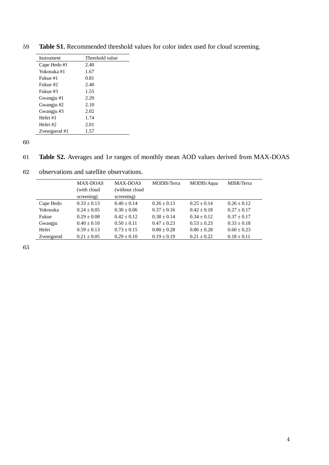| Instrument    | Threshold value |  |  |
|---------------|-----------------|--|--|
| Cape Hedo #1  | 2.40            |  |  |
| Yokosuka #1   | 1.67            |  |  |
| Fukue #1      | 0.81            |  |  |
| Fukue #2      | 2.40            |  |  |
| Fukue #3      | 1.55            |  |  |
| Gwangju #1    | 2.20            |  |  |
| Gwangju #2    | 2.10            |  |  |
| Gwangju #3    | 2.02            |  |  |
| Hefei #1      | 1.74            |  |  |
| Hefei #2      | 2.01            |  |  |
| Zvenigorod #1 | 1.57            |  |  |

59 **Table S1.** Recommended threshold values for color index used for cloud screening.

60

|  |  | 61 Table S2. Averages and $1\sigma$ ranges of monthly mean AOD values derived from MAX-DOAS |  |  |
|--|--|---------------------------------------------------------------------------------------------|--|--|
|  |  |                                                                                             |  |  |

62 observations and satellite observations.

|            | MAX-DOAS        | MAX-DOAS        | MODIS/Terra     | MODIS/Aqua    | MISR/Terra      |
|------------|-----------------|-----------------|-----------------|---------------|-----------------|
|            | (with cloud     | (without cloud  |                 |               |                 |
|            | screening)      | screening)      |                 |               |                 |
| Cape Hedo  | $0.33 + 0.13$   | $0.40 + 0.14$   | $0.26 + 0.13$   | $0.25 + 0.14$ | $0.26 + 0.12$   |
| Yokosuka   | $0.24 + 0.05$   | $0.30 + 0.06$   | $0.37 + 0.16$   | $0.42 + 0.18$ | $0.27 + 0.17$   |
| Fukue      | $0.29 + 0.08$   | $0.42 + 0.12$   | $0.38 + 0.14$   | $0.34 + 0.12$ | $0.37 + 0.17$   |
| Gwangju    | $0.40 + 0.10$   | $0.50 + 0.11$   | $0.47 + 0.23$   | $0.53 + 0.23$ | $0.33 + 0.18$   |
| Hefei      | $0.59 + 0.13$   | $0.73 + 0.15$   | $0.80 + 0.28$   | $0.86 + 0.28$ | $0.60 + 0.23$   |
| Zvenigorod | $0.21 \pm 0.05$ | $0.29 \pm 0.10$ | $0.19 \pm 0.19$ | $0.21 + 0.22$ | $0.18 \pm 0.11$ |

63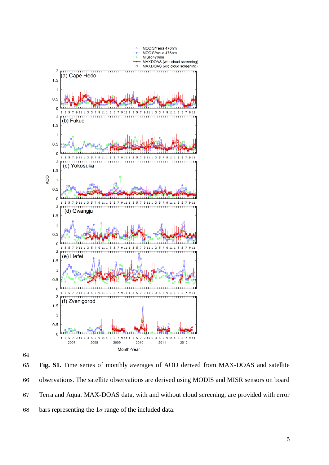

 **Fig. S1.** Time series of monthly averages of AOD derived from MAX-DOAS and satellite observations. The satellite observations are derived using MODIS and MISR sensors on board Terra and Aqua. MAX-DOAS data, with and without cloud screening, are provided with error 68 bars representing the  $1\sigma$  range of the included data.